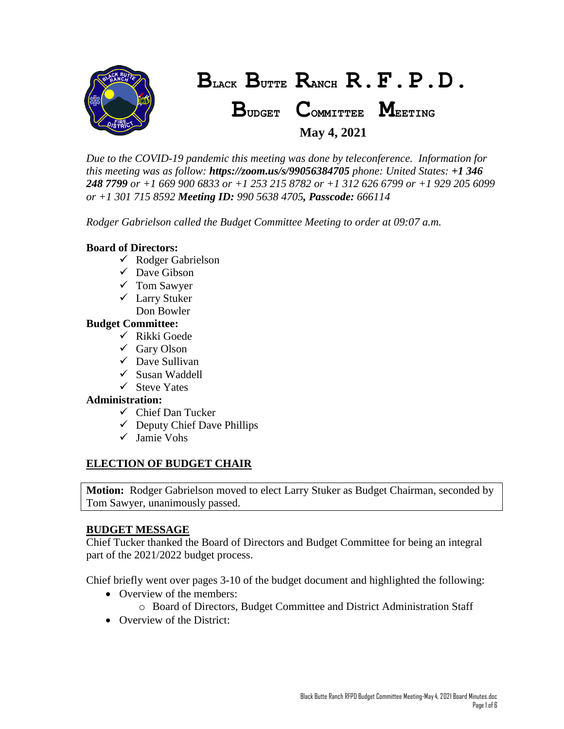

*Due to the COVID-19 pandemic this meeting was done by teleconference. Information for this meeting was as follow: https://zoom.us/s/99056384705 phone: United States: +1 346 248 7799 or +1 669 900 6833 or +1 253 215 8782 or +1 312 626 6799 or +1 929 205 6099 or +1 301 715 8592 Meeting ID: 990 5638 4705, Passcode: 666114*

*Rodger Gabrielson called the Budget Committee Meeting to order at 09:07 a.m.*

## **Board of Directors:**

- $\checkmark$  Rodger Gabrielson
- $\checkmark$  Dave Gibson
- Tom Sawyer
- Larry Stuker Don Bowler

## **Budget Committee:**

- $\checkmark$  Rikki Goede
- $\checkmark$  Gary Olson
- $\checkmark$  Dave Sullivan
- $\checkmark$  Susan Waddell
- $\checkmark$  Steve Yates

# **Administration:**

- $\checkmark$  Chief Dan Tucker
- $\checkmark$  Deputy Chief Dave Phillips
- $\checkmark$  Jamie Vohs

# **ELECTION OF BUDGET CHAIR**

**Motion:** Rodger Gabrielson moved to elect Larry Stuker as Budget Chairman, seconded by Tom Sawyer, unanimously passed.

### **BUDGET MESSAGE**

Chief Tucker thanked the Board of Directors and Budget Committee for being an integral part of the 2021/2022 budget process.

Chief briefly went over pages 3-10 of the budget document and highlighted the following:

- Overview of the members:
	- o Board of Directors, Budget Committee and District Administration Staff
- Overview of the District: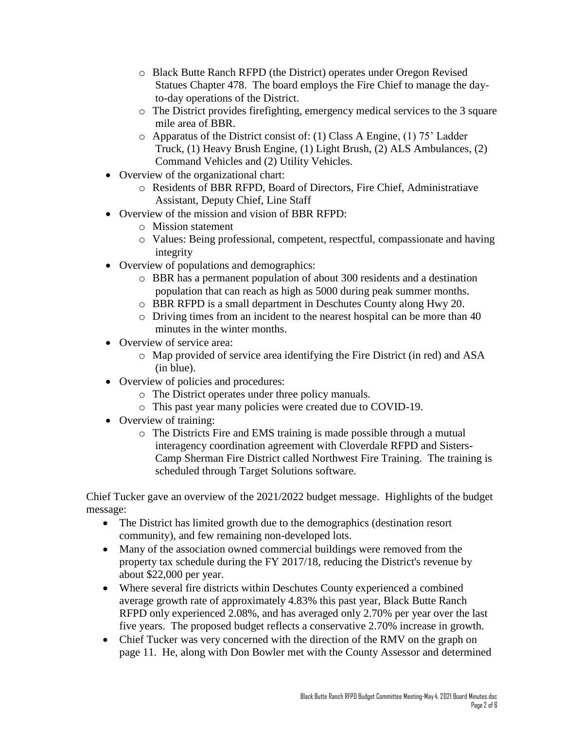- o Black Butte Ranch RFPD (the District) operates under Oregon Revised Statues Chapter 478. The board employs the Fire Chief to manage the dayto-day operations of the District.
- o The District provides firefighting, emergency medical services to the 3 square mile area of BBR.
- $\circ$  Apparatus of the District consist of: (1) Class A Engine, (1) 75' Ladder Truck, (1) Heavy Brush Engine, (1) Light Brush, (2) ALS Ambulances, (2) Command Vehicles and (2) Utility Vehicles.
- Overview of the organizational chart:
	- o Residents of BBR RFPD, Board of Directors, Fire Chief, Administratiave Assistant, Deputy Chief, Line Staff
- Overview of the mission and vision of BBR RFPD:
	- o Mission statement
	- o Values: Being professional, competent, respectful, compassionate and having integrity
- Overview of populations and demographics:
	- o BBR has a permanent population of about 300 residents and a destination population that can reach as high as 5000 during peak summer months.
	- o BBR RFPD is a small department in Deschutes County along Hwy 20.
	- o Driving times from an incident to the nearest hospital can be more than 40 minutes in the winter months.
- Overview of service area:
	- o Map provided of service area identifying the Fire District (in red) and ASA (in blue).
- Overview of policies and procedures:
	- o The District operates under three policy manuals.
	- o This past year many policies were created due to COVID-19.
- Overview of training:
	- o The Districts Fire and EMS training is made possible through a mutual interagency coordination agreement with Cloverdale RFPD and Sisters-Camp Sherman Fire District called Northwest Fire Training. The training is scheduled through Target Solutions software.

Chief Tucker gave an overview of the 2021/2022 budget message. Highlights of the budget message:

- The District has limited growth due to the demographics (destination resort community), and few remaining non-developed lots.
- Many of the association owned commercial buildings were removed from the property tax schedule during the FY 2017/18, reducing the District's revenue by about \$22,000 per year.
- Where several fire districts within Deschutes County experienced a combined average growth rate of approximately 4.83% this past year, Black Butte Ranch RFPD only experienced 2.08%, and has averaged only 2.70% per year over the last five years. The proposed budget reflects a conservative 2.70% increase in growth.
- Chief Tucker was very concerned with the direction of the RMV on the graph on page 11. He, along with Don Bowler met with the County Assessor and determined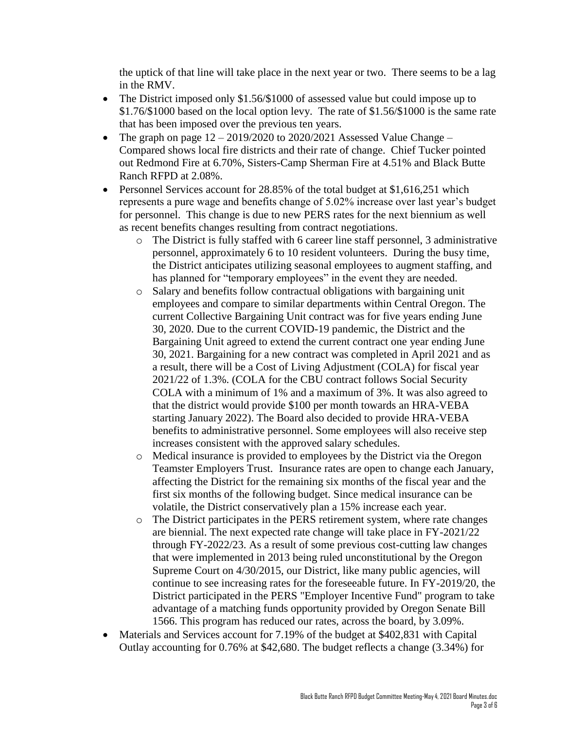the uptick of that line will take place in the next year or two. There seems to be a lag in the RMV.

- The District imposed only \$1.56/\$1000 of assessed value but could impose up to \$1.76/\$1000 based on the local option levy. The rate of \$1.56/\$1000 is the same rate that has been imposed over the previous ten years.
- The graph on page  $12 2019/2020$  to 2020/2021 Assessed Value Change Compared shows local fire districts and their rate of change. Chief Tucker pointed out Redmond Fire at 6.70%, Sisters-Camp Sherman Fire at 4.51% and Black Butte Ranch RFPD at 2.08%.
- Personnel Services account for 28.85% of the total budget at \$1,616,251 which represents a pure wage and benefits change of 5.02% increase over last year's budget for personnel. This change is due to new PERS rates for the next biennium as well as recent benefits changes resulting from contract negotiations.
	- o The District is fully staffed with 6 career line staff personnel, 3 administrative personnel, approximately 6 to 10 resident volunteers. During the busy time, the District anticipates utilizing seasonal employees to augment staffing, and has planned for "temporary employees" in the event they are needed.
	- o Salary and benefits follow contractual obligations with bargaining unit employees and compare to similar departments within Central Oregon. The current Collective Bargaining Unit contract was for five years ending June 30, 2020. Due to the current COVID-19 pandemic, the District and the Bargaining Unit agreed to extend the current contract one year ending June 30, 2021. Bargaining for a new contract was completed in April 2021 and as a result, there will be a Cost of Living Adjustment (COLA) for fiscal year 2021/22 of 1.3%. (COLA for the CBU contract follows Social Security COLA with a minimum of 1% and a maximum of 3%. It was also agreed to that the district would provide \$100 per month towards an HRA-VEBA starting January 2022). The Board also decided to provide HRA-VEBA benefits to administrative personnel. Some employees will also receive step increases consistent with the approved salary schedules.
	- o Medical insurance is provided to employees by the District via the Oregon Teamster Employers Trust. Insurance rates are open to change each January, affecting the District for the remaining six months of the fiscal year and the first six months of the following budget. Since medical insurance can be volatile, the District conservatively plan a 15% increase each year.
	- o The District participates in the PERS retirement system, where rate changes are biennial. The next expected rate change will take place in FY-2021/22 through FY-2022/23. As a result of some previous cost-cutting law changes that were implemented in 2013 being ruled unconstitutional by the Oregon Supreme Court on 4/30/2015, our District, like many public agencies, will continue to see increasing rates for the foreseeable future. In FY-2019/20, the District participated in the PERS "Employer Incentive Fund" program to take advantage of a matching funds opportunity provided by Oregon Senate Bill 1566. This program has reduced our rates, across the board, by 3.09%.
- Materials and Services account for 7.19% of the budget at \$402,831 with Capital Outlay accounting for 0.76% at \$42,680. The budget reflects a change (3.34%) for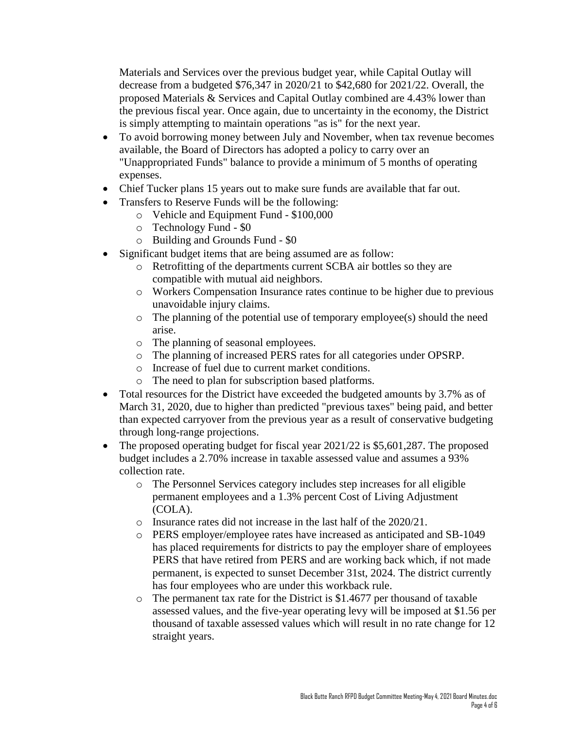Materials and Services over the previous budget year, while Capital Outlay will decrease from a budgeted \$76,347 in 2020/21 to \$42,680 for 2021/22. Overall, the proposed Materials & Services and Capital Outlay combined are 4.43% lower than the previous fiscal year. Once again, due to uncertainty in the economy, the District is simply attempting to maintain operations "as is" for the next year.

- To avoid borrowing money between July and November, when tax revenue becomes available, the Board of Directors has adopted a policy to carry over an "Unappropriated Funds" balance to provide a minimum of 5 months of operating expenses.
- Chief Tucker plans 15 years out to make sure funds are available that far out.
- Transfers to Reserve Funds will be the following:
	- o Vehicle and Equipment Fund \$100,000
	- o Technology Fund \$0
	- o Building and Grounds Fund \$0
- Significant budget items that are being assumed are as follow:
	- o Retrofitting of the departments current SCBA air bottles so they are compatible with mutual aid neighbors.
	- o Workers Compensation Insurance rates continue to be higher due to previous unavoidable injury claims.
	- o The planning of the potential use of temporary employee(s) should the need arise.
	- o The planning of seasonal employees.
	- o The planning of increased PERS rates for all categories under OPSRP.
	- o Increase of fuel due to current market conditions.
	- o The need to plan for subscription based platforms.
- Total resources for the District have exceeded the budgeted amounts by 3.7% as of March 31, 2020, due to higher than predicted "previous taxes" being paid, and better than expected carryover from the previous year as a result of conservative budgeting through long-range projections.
- The proposed operating budget for fiscal year 2021/22 is \$5,601,287. The proposed budget includes a 2.70% increase in taxable assessed value and assumes a 93% collection rate.
	- o The Personnel Services category includes step increases for all eligible permanent employees and a 1.3% percent Cost of Living Adjustment (COLA).
	- o Insurance rates did not increase in the last half of the 2020/21.
	- o PERS employer/employee rates have increased as anticipated and SB-1049 has placed requirements for districts to pay the employer share of employees PERS that have retired from PERS and are working back which, if not made permanent, is expected to sunset December 31st, 2024. The district currently has four employees who are under this workback rule.
	- o The permanent tax rate for the District is \$1.4677 per thousand of taxable assessed values, and the five-year operating levy will be imposed at \$1.56 per thousand of taxable assessed values which will result in no rate change for 12 straight years.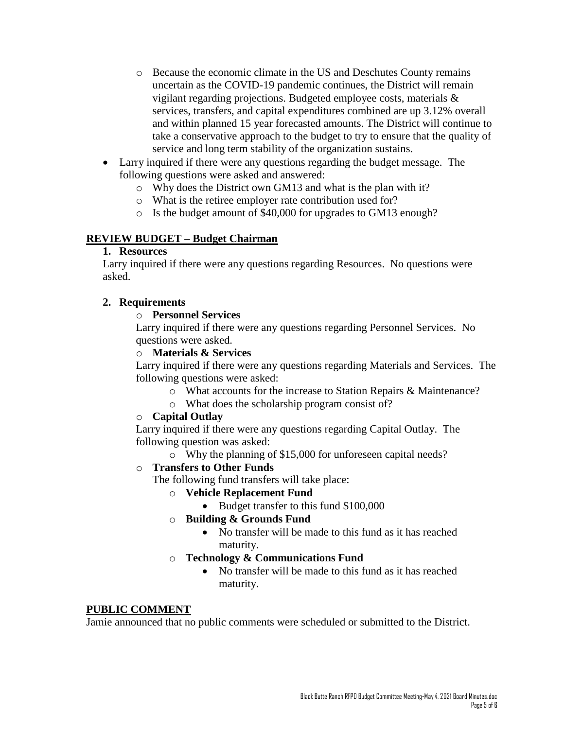- o Because the economic climate in the US and Deschutes County remains uncertain as the COVID-19 pandemic continues, the District will remain vigilant regarding projections. Budgeted employee costs, materials & services, transfers, and capital expenditures combined are up 3.12% overall and within planned 15 year forecasted amounts. The District will continue to take a conservative approach to the budget to try to ensure that the quality of service and long term stability of the organization sustains.
- Larry inquired if there were any questions regarding the budget message. The following questions were asked and answered:
	- o Why does the District own GM13 and what is the plan with it?
	- o What is the retiree employer rate contribution used for?
	- o Is the budget amount of \$40,000 for upgrades to GM13 enough?

# **REVIEW BUDGET – Budget Chairman**

### **1. Resources**

Larry inquired if there were any questions regarding Resources. No questions were asked.

## **2. Requirements**

## o **Personnel Services**

Larry inquired if there were any questions regarding Personnel Services. No questions were asked.

## o **Materials & Services**

Larry inquired if there were any questions regarding Materials and Services. The following questions were asked:

- o What accounts for the increase to Station Repairs & Maintenance?
- o What does the scholarship program consist of?

### o **Capital Outlay**

Larry inquired if there were any questions regarding Capital Outlay. The following question was asked:

o Why the planning of \$15,000 for unforeseen capital needs?

### o **Transfers to Other Funds**

The following fund transfers will take place:

- o **Vehicle Replacement Fund**
	- Budget transfer to this fund \$100,000
- o **Building & Grounds Fund**
	- No transfer will be made to this fund as it has reached maturity.
- o **Technology & Communications Fund**
	- No transfer will be made to this fund as it has reached maturity.

### **PUBLIC COMMENT**

Jamie announced that no public comments were scheduled or submitted to the District.